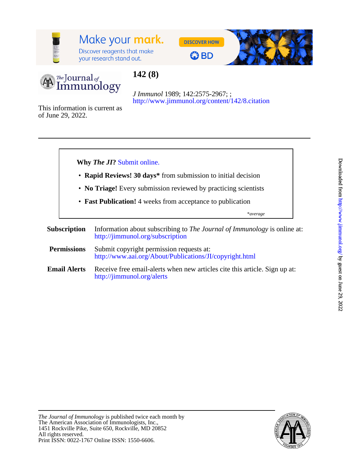

# Make your mark.

Discover reagents that make your research stand out.







# **142 (8)**

<http://www.jimmunol.org/content/142/8.citation> *J Immunol* 1989; 142:2575-2967; ;

of June 29, 2022. This information is current as



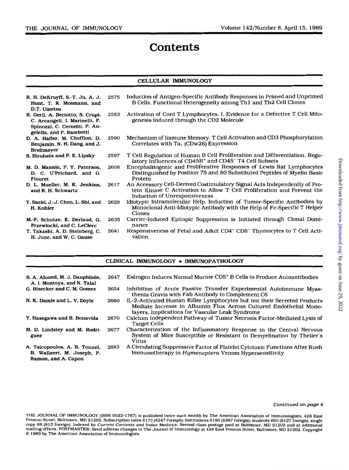# **Contents**

### CELLULAR IMMUNOLOGY

| R. H. DeKruyff, S.-T. Ju, A. J.<br>Hunt, T. R. Mosmann, and<br>D.T. Umetsu                                                      | 2575 | Induction of Antigen-Specific Antibody Responses in Primed and Unprimed<br>B Cells. Functional Heterogeneity among Th1 and Th2 Cell Clones                                           |
|---------------------------------------------------------------------------------------------------------------------------------|------|--------------------------------------------------------------------------------------------------------------------------------------------------------------------------------------|
| R. Gerli, A. Bertotto, S. Crupi,<br>C. Arcangeli, I. Marinelli, F.<br>Spinozzi, C. Cernetti, P. An-<br>gelella, and P. Rambotti | 2583 | Activation of Cord T Lymphocytes. I. Evidence for a Defective T Cell Mito-<br>genesis Induced through the CD2 Molecule                                                               |
| D. A. Hafler, M. Chofflon, D.<br>Benjamin, N. H. Dang, and J.<br><b>Breitmeyer</b>                                              | 2590 | Mechanism of Immune Memory. T Cell Activation and CD3 Phosphorylation<br>Correlates with $Ta_1$ (CDw26) Expression                                                                   |
| S. Hirohata and P. E. Lipsky                                                                                                    | 2597 | T Cell Regulation of Human B Cell Proliferation and Differentiation. Regu-<br>latory Influences of CD45R <sup>+</sup> and CD45 <sup>-</sup> T4 Cell Subsets                          |
| M. D. Mannie, P. Y. Paterson,<br>D. C. U'Prichard, and G.<br>Flouret                                                            | 2608 | Encephalitogenic and Proliferative Responses of Lewis Rat Lymphocytes<br>Distinguished by Position 75 and 80 Substituted Peptides of Myelin Basic<br>Protein                         |
| D. L. Mueller, M. K. Jenkins,<br>and R. H. Schwartz                                                                             | 2617 | An Accessory Cell-Derived Costimulatory Signal Acts Independently of Pro-<br>tein Kinase C Activation to Allow T Cell Proliferation and Prevent the<br>Induction of Unresponsiveness |
| Y. Saeki, J.-J. Chen, L. Shi, and<br>H. Kohler                                                                                  | 2629 | Idiotypic Intramolecular Help. Induction of Tumor-Specific Antibodies by<br>Monoclonal Anti-Idiotypic Antibody with the Help of Fc-Specific T Helper<br>Clones                       |
| M.-P. Schutze, E. Deriaud, G.<br>Przewlocki, and C. LeClerc                                                                     | 2635 | Carrier-Induced Epitopic Suppression is Initiated through Clonal Domi-<br>nance                                                                                                      |
| T. Takashi, A. D. Steinberg, C.<br>H. June, and W. C. Gause                                                                     | 2641 | Responsiveness of Fetal and Adult CD4 <sup>-</sup> CD8 <sup>-</sup> Thymocytes to T Cell Acti-<br>vation                                                                             |

| CLINICAL IMMUNOLOGY . IMMUNOPATHOLOGY                                              |      |                                                                                                                                                                                                  |  |
|------------------------------------------------------------------------------------|------|--------------------------------------------------------------------------------------------------------------------------------------------------------------------------------------------------|--|
| S. A. Ahmed, M. J. Dauphinée,<br>A. I. Montoya, and N. Talal                       | 2647 | Estrogen Induces Normal Murine CD5 <sup>+</sup> B Cells to Produce Autoantibodies                                                                                                                |  |
| G. Bisecker and C. M. Gomez                                                        | 2654 | Inhibition of Acute Passive Transfer Experimental Autoimmune Myas-<br>thenia Gravis with Fab Antibody to Complement C6                                                                           |  |
| N. K. Damle and L. V. Doyle                                                        | 2660 | IL-2-Activated Human Killer Lymphocytes but not their Secreted Products<br>Mediate Increase in Albumin Flux Across Cultured Endothelial Mono-<br>layers. Implications for Vascular Leak Syndrome |  |
| Y. Hasegawa and B. Bonavida                                                        | 2670 | Calcium Independent Pathway of Tumor Necrosis Factor-Mediated Lysis of<br><b>Target Cells</b>                                                                                                    |  |
| M. D. Lindsley and M. Rodri-<br>guez                                               | 2677 | Characterization of the Inflammatory Response in the Central Nervous<br>System of Mice Susceptible or Resistant to Demyelination by Theiler's<br>Virus                                           |  |
| A. Tsicopoulos, A. B. Tonnel,<br>B. Wallaert, M. Joseph, P.<br>Ramon, and A. Capon | 2683 | A Circulating Suppressive Factor of Platelet Cytotoxic Functions After Rush<br>Immunotherapy in Hymenoptera Venom Hypersensitivity                                                               |  |

#### Continued on page 4

THE JOURNAL OF IMMUNOLOGY (ISSN 0022-1767) is published twice each month by The American Association of Immunologists, 428 East Preston Street, Baltimore, MD 21202. Subscription rates \$170 (\$247 foreign); institutions \$190 (\$267 foreign); students \$50 (\$127 foreign); single restor Street, Baltimore, MD 21202. Copyright and Index Medicus. Second class postage paid at Baltimore, MD 21202 and at additional<br>mailing offices. POSTMASTER: Send address changes to The Journal of Immunology at 428 East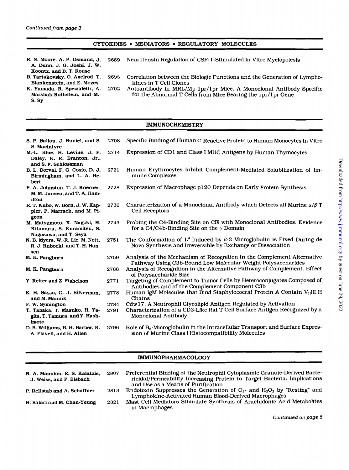# CYTOKINES • MEDIATORS • REGULATORY MOLECULES

**A.** Dunn. J. *G.* Joshi. J. W.

R. N. Moore, A. P. Osmand. J. **2689** Neurotensin Regulation of CSF- 1 -Stimulated In Vitro Myelopoiesis

- Koontz, and *B. T. Rouse*<br>B. Tartakovsky, O. Axelrod, T.
- Blankenstein, and E. Mozes<br>
K. Yamada, R. Spezialetti, A. 2702 Autoantibody in MRL/M 2695 Correlation between the Biologic Functions and the Generation of Lympho-
- **s.** sy
- Marshak-Rothstein, and M.- for the Abnormal T Cells from Mice Bearing the lpr/lpr Gene Autoantibody in MRL/Mp-1pr/1pr Mice. A Monoclonal Antibody Specific

# IMMUNOCHEMISTRY

| S. P. Ballou, J. Buniel, and S.<br>S. Macintyre                                           | 2708         | Specific Binding of Human C-Reactive Protein to Human Monocytes in Vitro                                                                                                  |
|-------------------------------------------------------------------------------------------|--------------|---------------------------------------------------------------------------------------------------------------------------------------------------------------------------|
| M.-L. Blue, H. Levine, J. F.<br>Daley, K. R. Branton, Jr.,<br>and S. F. Schlossman        | 2714         | Expression of CD1 and Class I MHC Antigens by Human Thymocytes                                                                                                            |
| B. L. Dorval, F. G. Cosio, D. J.<br>Birmingham, and L. A. He-<br>bert                     | 2721         | Human Erythrocytes Inhibit Complement-Mediated Solubilization of Im-<br>mune Complexes                                                                                    |
| P. A. Johnston, T. J. Koerner,<br>M. M. Jansen, and T. A. Ham-<br>ilton                   | 2728         | Expression of Macrophage p120 Depends on Early Protein Synthesis                                                                                                          |
| R. T. Kubo, W. Born, J. W. Kap-<br>pler, P. Marrack, and M. Pi-<br>geon                   | 2736         | Characterization of a Monoclonal Antibody which Detects all Murine $\alpha/\beta$ T<br>Cell Receptors                                                                     |
| M. Matsumoto, K. Nagaki, H.<br>Kitamura, S. Kuramitsu, S.<br>Nagasawa, and T. Seya        | 2743         | Probing the C4-Binding Site on CIs with Monoclonal Antibodies. Evidence<br>for a C4/C4b-Binding Site on the $\gamma$ Domain                                               |
| N. B. Myers, W.-R. Lie, M. Nett,<br>R. J. Rubocki, and T. H. Han-<br>sen                  | 2751         | The Conformation of L <sup>d</sup> Induced by $\beta$ -2 Microglobulin is Fixed During de<br>Novo Synthesis and Irreversible by Exchange or Dissociation                  |
| M. K. Pangburn                                                                            | 2759         | Analysis of the Mechanism of Recognition in the Complement Alternative<br>Pathway Using C3b-Bound Low Molecular Weight Polysaccharides                                    |
| M. K. Pangburn                                                                            | 2766         | Analysis of Recognition in the Alternative Pathway of Complement. Effect<br>of Polysaccharide Size                                                                        |
| Y. Reiter and Z. Fishelson                                                                | 2771         | Targeting of Complement to Tumor Cells by Heteroconjugates Composed of<br>Antibodies and of the Complement Component C3b                                                  |
| E. H. Sasso, G. J. Silverman,<br>and M. Mannik                                            | 2778         | Human IgM Molecules that Bind Staphylococcal Protein A Contain VHIII H<br>Chains                                                                                          |
| F. W. Symington<br>T. Tanaka, T. Masuko, H. Ya-<br>gita, T. Tamura, and Y. Hash-<br>imoto | 2784<br>2791 | Cdw17. A Neutrophil Glycolipid Antigen Regulated by Activation<br>Characterization of a CD3-Like Rat T Cell Surface Antigen Recognized by a<br><b>Monoclonal Antibody</b> |
| D. B. Williams, B. H. Barber, R.<br>A. Flavell, and H. Allen                              | 2796         | Role of B <sub>2</sub> -Microglobulin in the Intracellular Transport and Surface Expres-<br>sion of Murine Class I Histocompatibility Molecules                           |

### IMMUNOPHARMACOLOGY

| B. A. Mannion, E. S. Kalatzis,<br>J. Weiss, and P. Elsbach | 2807 | Preferential Binding of the Neutrophil Cytoplasmic Granule-Derived Bacte-<br>ricidal/Permeability Increasing Protein to Target Bacteria. Implications<br>and Use as a Means of Purification |
|------------------------------------------------------------|------|---------------------------------------------------------------------------------------------------------------------------------------------------------------------------------------------|
| P. Rellstab and A. Schaffner                               | 2813 | Endotoxin Suppresses the Generation of $O_2$ - and $H_2O_2$ by "Resting" and<br>Lymphokine-Activated Human Blood-Derived Macrophages                                                        |
| H. Salari and M. Chan-Yeung                                | 2821 | Mast Cell Mediators Stimulate Synthesis of Arachidonic Acid Metabolites<br>in Macrophages                                                                                                   |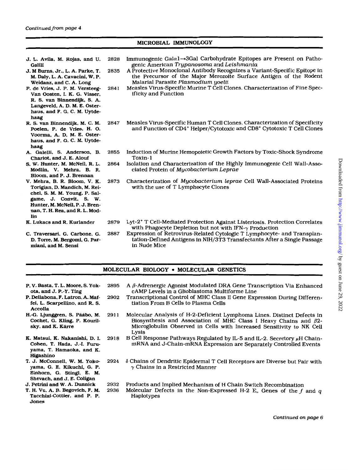| Continued from page 4 |  |
|-----------------------|--|
|                       |  |

## MICROBIAL IMMUNOLOGY

| J. L. Avila, M. Rojas, and U.<br>Galili<br>J. M Burns, Jr., L. A. Parke, T.<br>M. Daly, L. A. Cavacini, W. P.<br>Weidanz, and C. A. Long<br>P. de Vries, J. P. M. Versteeg-<br>Van Oosten, I. K. G. Visser,<br>R. S. van Binnendijk, S. A.<br>Langeveld, A. D. M. E. Oster-<br>haus, and F. G. C. M. Uytde-<br>haag | 2828<br>2835<br>2841 | Immunogenic Gala1→3Gal Carbohydrate Epitopes are Present on Patho-<br>genic American Trypanosoma and Leishmania<br>A Protective Monoclonal Antibody Recognizes a Variant-Specific Epitope in<br>the Precursor of the Major Merozoite Surface Antigen of the Rodent<br>Malarial Parasite Plasmodium yoelii<br>Measles Virus-Specific Murine T Cell Clones. Characterization of Fine Spec-<br>ificity and Function |
|---------------------------------------------------------------------------------------------------------------------------------------------------------------------------------------------------------------------------------------------------------------------------------------------------------------------|----------------------|------------------------------------------------------------------------------------------------------------------------------------------------------------------------------------------------------------------------------------------------------------------------------------------------------------------------------------------------------------------------------------------------------------------|
| R. S. van Binnendijk, M. C. M.<br>Poelen, P. de Vries, H. O.<br>Voorma, A. D. M. E. Oster-<br>haus, and F. G. C. M. Uytde-<br>haag                                                                                                                                                                                  | 2847                 | Measles Virus-Specific Human T Cell Clones. Characterization of Specificity<br>and Function of CD4 <sup>+</sup> Helper/Cytotoxic and CD8 <sup>+</sup> Cytotoxic T Cell Clones                                                                                                                                                                                                                                    |
| A. Galelli, S. Anderson, B.<br>Charlot, and J. E. Alouf                                                                                                                                                                                                                                                             | 2855                 | Induction of Murine Hemopoietic Growth Factors by Toxic-Shock Syndrome<br>Toxin-1                                                                                                                                                                                                                                                                                                                                |
| S. W. Hunter, M. McNeil, R. L.<br>Modlin, V. Mehra, B. R.<br>Bloom, and P. J. Brennan                                                                                                                                                                                                                               | 2864                 | Isolation and Characterization of the Highly Immunogenic Cell Wall-Asso-<br>ciated Protein of Mycobacterium Leprae                                                                                                                                                                                                                                                                                               |
| V. Mehra, B. R. Bloom, V. K.<br>Torigian, D. Mandich, M. Rei-<br>chel, S. M. M. Young, P. Sal-<br>game, J. Convit, S. W.<br>Hunter, M. McNeil, P. J. Bren-<br>nan, T. H. Rea, and R. L. Mod-<br>lin                                                                                                                 | 2873                 | Characterization of Mycobacterium leprae Cell Wall-Associated Proteins<br>with the use of T Lymphocyte Clones                                                                                                                                                                                                                                                                                                    |
| K. Lukacs and R. Kurlander                                                                                                                                                                                                                                                                                          | 2879                 | Lyt-2 <sup>+</sup> T Cell-Mediated Protection Against Listeriosis. Protection Correlates<br>with Phagocyte Depletion but not with $IFN-\gamma$ Production                                                                                                                                                                                                                                                        |
| C. Traversari, G. Carbone, G.<br>D. Torre, M. Bergomi, G. Par-<br>miani, and M. Sensi                                                                                                                                                                                                                               | 2887                 | Expression of Retrovirus-Related Cytologic T Lymphocyte- and Transplan-<br>tation-Defined Antigens in NIH/3T3 Transfectants After a Single Passage<br>in Nude Mice                                                                                                                                                                                                                                               |

| MOLECULAR BIOLOGY . MOLECULAR GENETICS |  |  |  |
|----------------------------------------|--|--|--|
|----------------------------------------|--|--|--|

P. V. Basta, T. L. Moore. *S.* Yok-**P.** Dellabona. **F.** Latron. A. **Maf**fei, L. Scarpellino. and R. *S.*  Accolla H.-G. Ljunggren, S. Pääbo, M. Cochet. G. *Kling.* P. Kourilsky, and K. Kärre **Ob,** and J. **P.-Y.** Ting K. Matsui. K. Nakanishi. D. **I.**  Cohen, T. Hada, J.-I. Furuyama, T. Hamaoka. and K. Higashino T. J. McConnell, W. M. Yokoyama, *G.* **E.** Kikuchi. G. P. **Einhorn.** G. Stingl. **E.** M. Shevach. and J. **E.** Coligan J. Petrini and W. **A.** Dunnick T. H. Vu, **A.** B. Begovich, **F.** M. Tacchini-Cottier, and P. P. Jones **2895** A P-Adrenergic Agonist Modulated DRA Gene Transcription Via Enhanced **2902** Transcriptional Control of MHC Class I1 Gene Expression During Differen-CAMP Levels in a Glioblastoma Multiforme Line tiation From **B** Cells to Plasma Cells 2911 Molecular Analysis of H-2-Deficient Lymphoma Lines. Distinct Defects in Biosynthesis and Association of MHC Class I Heavy Chains and *p2-*  Microglobulin Observed in Cells .with Increased Sensitivity to NK Cell 2918 **B Cell Response Pathways Regulated by IL-5 and IL-2. Secretory**  $\mu$ **H Chain**mRNA and J-Chain-mRNA Expression are Separately Controlled Events Lysis **2924 6** Chains of Dendritic Epidermal T Cell Receptors are Diverse but Pair with **y** Chains in a Restricted Manner **2932** Products and Implied Mechanism of H Chain Switch Recombination **2936** Molecular Defects in the Non-Expressed H-2 **E,** Genes of the *f* and *q*  Haplotypes

*Contfnued on page 6*